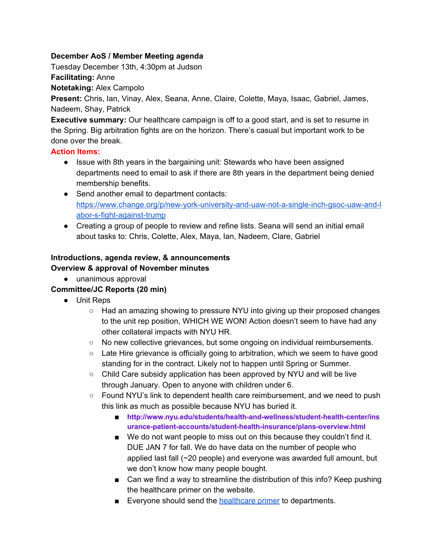#### **December AoS / Member Meeting agenda**

Tuesday December 13th, 4:30pm at Judson

**Facilitating:** Anne

**Notetaking:** Alex Campolo

**Present:** Chris, Ian, Vinay, Alex, Seana, Anne, Claire, Colette, Maya, Isaac, Gabriel, James, Nadeem, Shay, Patrick

**Executive summary:** Our healthcare campaign is off to a good start, and is set to resume in the Spring. Big arbitration fights are on the horizon. There's casual but important work to be done over the break.

#### **Action Items:**

- Issue with 8th years in the bargaining unit: Stewards who have been assigned departments need to email to ask if there are 8th years in the department being denied membership benefits.
- Send another email to department contacts: [https://www.change.org/p/new-york-university-and-uaw-not-a-single-inch-gsoc-uaw-and-l](https://www.change.org/p/new-york-university-and-uaw-not-a-single-inch-gsoc-uaw-and-labor-s-fight-against-trump) [abor-s-fight-against-trump](https://www.change.org/p/new-york-university-and-uaw-not-a-single-inch-gsoc-uaw-and-labor-s-fight-against-trump)
- Creating a group of people to review and refine lists. Seana will send an initial email about tasks to: Chris, Colette, Alex, Maya, Ian, Nadeem, Clare, Gabriel

#### **Introductions, agenda review, & announcements Overview & approval of November minutes**

● unanimous approval

# **Committee/JC Reports (20 min)**

- Unit Reps
	- Had an amazing showing to pressure NYU into giving up their proposed changes to the unit rep position, WHICH WE WON! Action doesn't seem to have had any other collateral impacts with NYU HR.
	- No new collective grievances, but some ongoing on individual reimbursements.
	- Late Hire grievance is officially going to arbitration, which we seem to have good standing for in the contract. Likely not to happen until Spring or Summer.
	- Child Care subsidy application has been approved by NYU and will be live through January. Open to anyone with children under 6.
	- Found NYU's link to dependent health care reimbursement, and we need to push this link as much as possible because NYU has buried it.
		- **■ [http://www.nyu.edu/students/health-and-wellness/student-health-center/ins](http://www.nyu.edu/students/health-and-wellness/student-health-center/insurance-patient-accounts/student-health-insurance/plans-overview.html) [urance-patient-accounts/student-health-insurance/plans-overview.html](http://www.nyu.edu/students/health-and-wellness/student-health-center/insurance-patient-accounts/student-health-insurance/plans-overview.html)**
		- We do not want people to miss out on this because they couldn't find it. DUE JAN 7 for fall. We do have data on the number of people who applied last fall (~20 people) and everyone was awarded full amount, but we don't know how many people bought.
		- Can we find a way to streamline the distribution of this info? Keep pushing the healthcare primer on the website.
		- Everyone should send the [healthcare](http://www.makingabetternyu.org/gsocuaw/2015/08/05/everything-you-need-to-know-about-health-insurance-2/) primer to departments.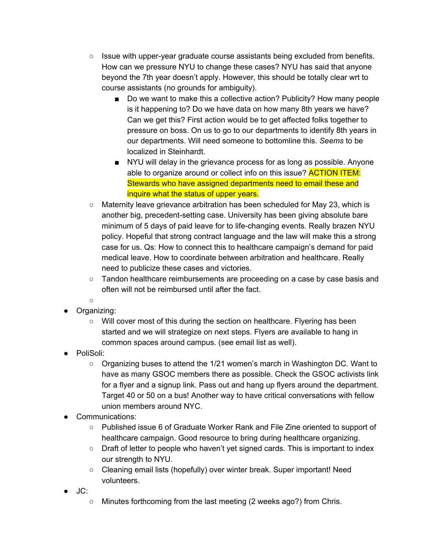- $\circ$  Issue with upper-year graduate course assistants being excluded from benefits. How can we pressure NYU to change these cases? NYU has said that anyone beyond the 7th year doesn't apply. However, this should be totally clear wrt to course assistants (no grounds for ambiguity).
	- Do we want to make this a collective action? Publicity? How many people is it happening to? Do we have data on how many 8th years we have? Can we get this? First action would be to get affected folks together to pressure on boss. On us to go to our departments to identify 8th years in our departments. Will need someone to bottomline this. *Seems* to be localized in Steinhardt.
	- NYU will delay in the grievance process for as long as possible. Anyone able to organize around or collect info on this issue? **ACTION ITEM:** Stewards who have assigned departments need to email these and inquire what the status of upper years.
- Maternity leave grievance arbitration has been scheduled for May 23, which is another big, precedent-setting case. University has been giving absolute bare minimum of 5 days of paid leave for to life-changing events. Really brazen NYU policy. Hopeful that strong contract language and the law will make this a strong case for us. Qs: How to connect this to healthcare campaign's demand for paid medical leave. How to coordinate between arbitration and healthcare. Really need to publicize these cases and victories.
- Tandon healthcare reimbursements are proceeding on a case by case basis and often will not be reimbursed until after the fact.
- $\cap$
- Organizing:
	- Will cover most of this during the section on healthcare. Flyering has been started and we will strategize on next steps. Flyers are available to hang in common spaces around campus. (see email list as well).
- PoliSoli:
	- $\circ$  Organizing buses to attend the 1/21 women's march in Washington DC. Want to have as many GSOC members there as possible. Check the GSOC activists link for a flyer and a signup link. Pass out and hang up flyers around the department. Target 40 or 50 on a bus! Another way to have critical conversations with fellow union members around NYC.
- Communications:
	- Published issue 6 of Graduate Worker Rank and File Zine oriented to support of healthcare campaign. Good resource to bring during healthcare organizing.
	- Draft of letter to people who haven't yet signed cards. This is important to index our strength to NYU.
	- Cleaning email lists (hopefully) over winter break. Super important! Need volunteers.
- JC:
	- Minutes forthcoming from the last meeting (2 weeks ago?) from Chris.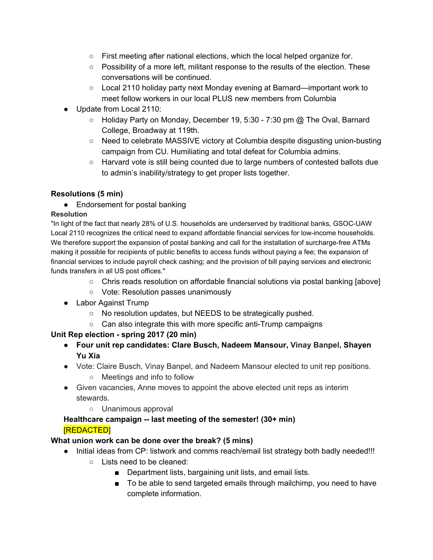- $\circ$  First meeting after national elections, which the local helped organize for.
- Possibility of a more left, militant response to the results of the election. These conversations will be continued.
- Local 2110 holiday party next Monday evening at Barnard—important work to meet fellow workers in our local PLUS new members from Columbia
- Update from Local 2110:
	- Holiday Party on Monday, December 19, 5:30 7:30 pm @ The Oval, Barnard College, Broadway at 119th.
	- Need to celebrate MASSIVE victory at Columbia despite disgusting union-busting campaign from CU. Humiliating and total defeat for Columbia admins.
	- Harvard vote is still being counted due to large numbers of contested ballots due to admin's inability/strategy to get proper lists together.

# **Resolutions (5 min)**

• Endorsement for postal banking

### **Resolution**

"In light of the fact that nearly 28% of U.S. households are underserved by traditional banks, GSOC-UAW Local 2110 recognizes the critical need to expand affordable financial services for low-income households. We therefore support the expansion of postal banking and call for the installation of surcharge-free ATMs making it possible for recipients of public benefits to access funds without paying a fee; the expansion of financial services to include payroll check cashing; and the provision of bill paying services and electronic funds transfers in all US post offices."

- Chris reads resolution on affordable financial solutions via postal banking [above]
- Vote: Resolution passes unanimously
- Labor Against Trump
	- No resolution updates, but NEEDS to be strategically pushed.
	- Can also integrate this with more specific anti-Trump campaigns

# **Unit Rep election - spring 2017 (20 min)**

- **● Four unit rep candidates: Clare Busch, Nadeem Mansour, Vinay Banpel, Shayen Yu Xia**
- Vote: Claire Busch, Vinay Banpel, and Nadeem Mansour elected to unit rep positions.
	- Meetings and info to follow
- Given vacancies, Anne moves to appoint the above elected unit reps as interim stewards.
	- Unanimous approval

### **Healthcare campaign -- last meeting of the semester! (30+ min)** [REDACTED]

# **What union work can be done over the break? (5 mins)**

- Initial ideas from CP: listwork and comms reach/email list strategy both badly needed!!!
	- Lists need to be cleaned:
		- Department lists, bargaining unit lists, and email lists.
		- To be able to send targeted emails through mailchimp, you need to have complete information.